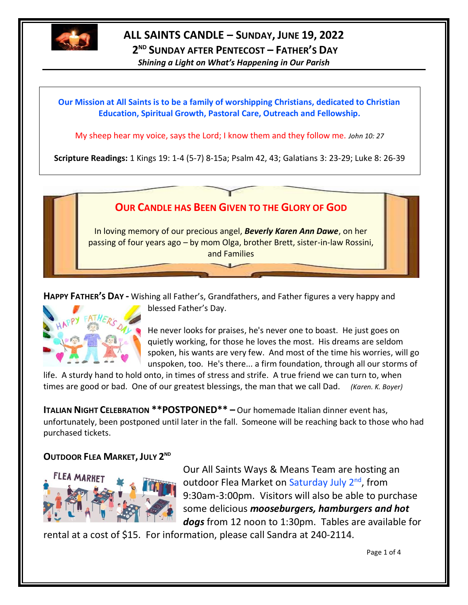

# **ALL SAINTS CANDLE – SUNDAY, JUNE 19, 2022**

**2 ND SUNDAY AFTER PENTECOST – FATHER'S DAY**

*Shining a Light on What's Happening in Our Parish*

### **Our Mission at All Saints is to be a family of worshipping Christians, dedicated to Christian Education, Spiritual Growth, Pastoral Care, Outreach and Fellowship.**

My sheep hear my voice, says the Lord; I know them and they follow me. *John 10: 27*

**Scripture Readings:** 1 Kings 19: 1-4 (5-7) 8-15a; Psalm 42, 43; Galatians 3: 23-29; Luke 8: 26-39



**HAPPY FATHER'S DAY -** Wishing all Father's, Grandfathers, and Father figures a very happy and



blessed Father's Day.

He never looks for praises, he's never one to boast. He just goes on quietly working, for those he loves the most. His dreams are seldom spoken, his wants are very few. And most of the time his worries, will go unspoken, too. He's there... a firm foundation, through all our storms of

life. A sturdy hand to hold onto, in times of stress and strife. A true friend we can turn to, when times are good or bad. One of our greatest blessings, the man that we call Dad. *(Karen. K. Boyer)*

**ITALIAN NIGHT CELEBRATION \*\*POSTPONED\*\* –** Our homemade Italian dinner event has, unfortunately, been postponed until later in the fall. Someone will be reaching back to those who had purchased tickets.

## **OUTDOOR FLEA MARKET, JULY 2 ND**



Our All Saints Ways & Means Team are hosting an outdoor Flea Market on Saturday July 2<sup>nd</sup>, from 9:30am-3:00pm. Visitors will also be able to purchase some delicious *mooseburgers, hamburgers and hot dogs* from 12 noon to 1:30pm. Tables are available for

rental at a cost of \$15. For information, please call Sandra at 240-2114.

Page 1 of 4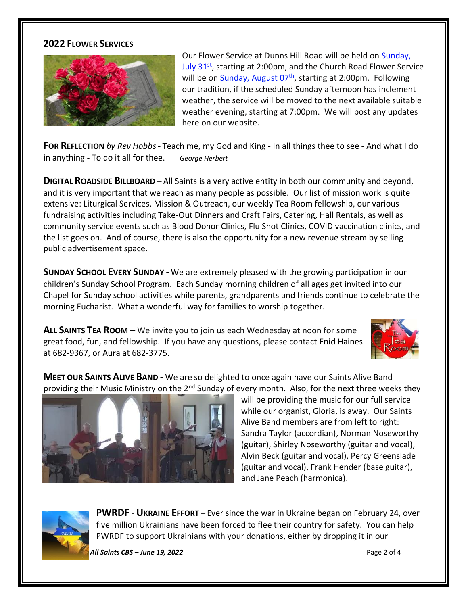#### **2022 FLOWER SERVICES**



Our Flower Service at Dunns Hill Road will be held on Sunday, July 31<sup>st</sup>, starting at 2:00pm, and the Church Road Flower Service will be on Sunday, August 07<sup>th</sup>, starting at 2:00pm. Following our tradition, if the scheduled Sunday afternoon has inclement weather, the service will be moved to the next available suitable weather evening, starting at 7:00pm. We will post any updates here on our website.

**FOR REFLECTION** *by Rev Hobbs***-** Teach me, my God and King - In all things thee to see - And what I do in anything - To do it all for thee. *George Herbert*

**DIGITAL ROADSIDE BILLBOARD –** All Saints is a very active entity in both our community and beyond, and it is very important that we reach as many people as possible. Our list of mission work is quite extensive: Liturgical Services, Mission & Outreach, our weekly Tea Room fellowship, our various fundraising activities including Take-Out Dinners and Craft Fairs, Catering, Hall Rentals, as well as community service events such as Blood Donor Clinics, Flu Shot Clinics, COVID vaccination clinics, and the list goes on. And of course, there is also the opportunity for a new revenue stream by selling public advertisement space.

**SUNDAY SCHOOL EVERY SUNDAY -** We are extremely pleased with the growing participation in our children's Sunday School Program. Each Sunday morning children of all ages get invited into our Chapel for Sunday school activities while parents, grandparents and friends continue to celebrate the morning Eucharist. What a wonderful way for families to worship together.

**ALL SAINTS TEA ROOM –** We invite you to join us each Wednesday at noon for some great food, fun, and fellowship. If you have any questions, please contact Enid Haines at 682-9367, or Aura at 682-3775.



**MEET OUR SAINTS ALIVE BAND -** We are so delighted to once again have our Saints Alive Band providing their Music Ministry on the 2<sup>nd</sup> Sunday of every month. Also, for the next three weeks they



will be providing the music for our full service while our organist, Gloria, is away. Our Saints Alive Band members are from left to right: Sandra Taylor (accordian), Norman Noseworthy (guitar), Shirley Noseworthy (guitar and vocal), Alvin Beck (guitar and vocal), Percy Greenslade (guitar and vocal), Frank Hender (base guitar), and Jane Peach (harmonica).



**PWRDF - UKRAINE EFFORT –** Ever since the war in Ukraine began on February 24, over five million Ukrainians have been forced to flee their country for safety. You can help PWRDF to support Ukrainians with your donations, either by dropping it in our

*THE CANDLE – All Saints CBS – June 19, 2022* Page 2 of 4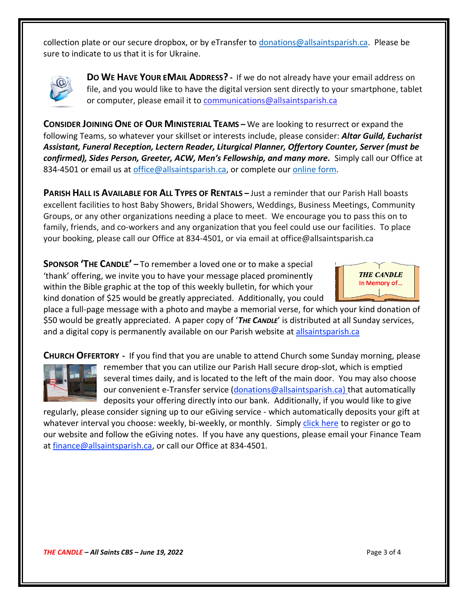collection plate or our secure dropbox, or by eTransfer t[o donations@allsaintsparish.ca.](mailto:donations@allsaintsparish.ca) Please be sure to indicate to us that it is for Ukraine.



**DO WE HAVE YOUR EMAIL ADDRESS?** - If we do not already have your email address on file, and you would like to have the digital version sent directly to your smartphone, tablet or computer, please email it to [communications@allsaintsparish.ca](mailto:communications@allsaintsparish.ca?subject=eMail%20Address%20Update)

**CONSIDER JOINING ONE OF OUR MINISTERIAL TEAMS –** We are looking to resurrect or expand the following Teams, so whatever your skillset or interests include, please consider: *Altar Guild, Eucharist Assistant, Funeral Reception, Lectern Reader, Liturgical Planner, Offertory Counter, Server (must be confirmed), Sides Person, Greeter, ACW, Men's Fellowship, and many more.* Simply call our Office at 834-4501 or email us at [office@allsaintsparish.ca,](mailto:office@allsaintsparish.ca) or complete our [online form.](http://allsaintsparish.ca/covid-pre-registration-form_2)

**PARISH HALL IS AVAILABLE FOR ALL TYPES OF RENTALS –** Just a reminder that our Parish Hall boasts excellent facilities to host Baby Showers, Bridal Showers, Weddings, Business Meetings, Community Groups, or any other organizations needing a place to meet. We encourage you to pass this on to family, friends, and co-workers and any organization that you feel could use our facilities. To place your booking, please call our Office at 834-4501, or via email at office@allsaintsparish.ca

**SPONSOR 'THE CANDLE' –** To remember a loved one or to make a special 'thank' offering, we invite you to have your message placed prominently within the Bible graphic at the top of this weekly bulletin, for which your kind donation of \$25 would be greatly appreciated. Additionally, you could



place a full-page message with a photo and maybe a memorial verse, for which your kind donation of \$50 would be greatly appreciated. A paper copy of '*THE CANDLE*' is distributed at all Sunday services, and a digital copy is permanently available on our Parish website at [allsaintsparish.ca](http://allsaintsparish.ca/thecandle.html)

**CHURCH OFFERTORY -** If you find that you are unable to attend Church some Sunday morning, please



remember that you can utilize our Parish Hall secure drop-slot, which is emptied several times daily, and is located to the left of the main door. You may also choose our convenient e-Transfer service [\(donations@allsaintsparish.ca\)](mailto:donations@allsaintsparish.ca) that automatically deposits your offering directly into our bank. Additionally, if you would like to give

regularly, please consider signing up to our eGiving service - which automatically deposits your gift at whatever interval you choose: weekly, bi-weekly, or monthly. Simply [click here](http://allsaintsparish.ca/egiving-online-information-form) to register or go to our website and follow the eGiving notes. If you have [any](https://wfsites-to.websitecreatorprotool.com/870a5dd5.com/Admin/%7BSK_NODEID__22939341__SK%7D) questions, please email your Finance Team at [finance@allsaintsparish.ca,](mailto:finance@allsaintsparish.ca) or call our Office at 834-4501.